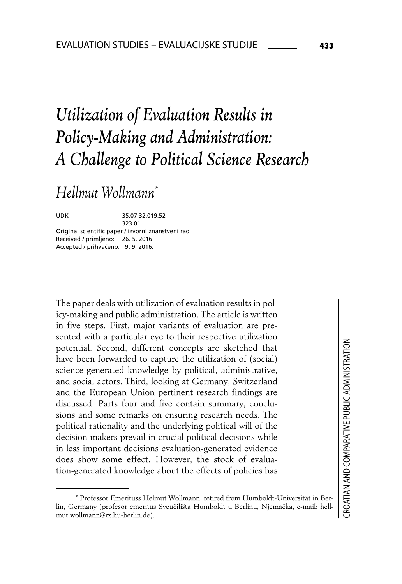# *Utilization of Evaluation Results in Policy-Making and Administration: A Challenge to Political Science Research*

*Hellmut Wollmann\**

UDK 35.07:32.019.52 323.01 Original scientific paper / izvorni znanstveni rad Received / primljeno: 26. 5. 2016. Accepted / prihvaćeno: 9. 9. 2016.

The paper deals with utilization of evaluation results in policy-making and public administration. The article is written in five steps. First, major variants of evaluation are presented with a particular eve to their respective utilization potential. Second, different concepts are sketched that have been forwarded to capture the utilization of (social) science-generated knowledge by political, administrative, and social actors. Third, looking at Germany, Switzerland and the European Union pertinent research findings are discussed. Parts four and five contain summary, conclusions and some remarks on ensuring research needs. The political rationality and the underlying political will of the decision-makers prevail in crucial political decisions while in less important decisions evaluation-generated evidence does show some effect. However, the stock of evaluation-generated knowledge about the effects of policies has

<sup>∗</sup> Professor Emerituss Helmut Wollmann, retired from Humboldt-Universität in Berlin, Germany (profesor emeritus Sveučilišta Humboldt u Berlinu, Njemačka, e-mail: hellmut.wollmann@rz.hu-berlin.de).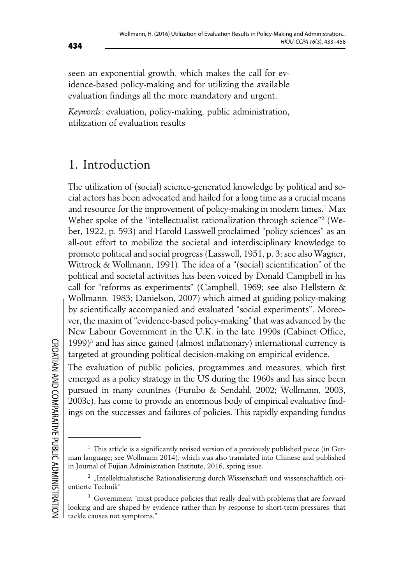seen an exponential growth, which makes the call for evidence-based policy-making and for utilizing the available evaluation findings all the more mandatory and urgent.

*Keywords*: evaluation, policy-making, public administration, utilization of evaluation results

# 1. Introduction

The utilization of (social) science-generated knowledge by political and social actors has been advocated and hailed for a long time as a crucial means and resource for the improvement of policy-making in modern times.<sup>1</sup> Max Weber spoke of the "intellectualist rationalization through science"2 (Weber, 1922, p. 593) and Harold Lasswell proclaimed "policy sciences" as an all-out effort to mobilize the societal and interdisciplinary knowledge to promote political and social progress (Lasswell, 1951, p. 3; see also Wagner, Wittrock & Wollmann, 1991). The idea of a "(social) scientification" of the political and societal activities has been voiced by Donald Campbell in his call for "reforms as experiments" (Campbell, 1969; see also Hellstern & Wollmann, 1983; Danielson, 2007) which aimed at guiding policy-making by scientifically accompanied and evaluated "social experiments". Moreover, the maxim of "evidence-based policy-making" that was advanced by the New Labour Government in the U.K. in the late 1990s (Cabinet Office, 1999)3 and has since gained (almost inflationary) international currency is targeted at grounding political decision-making on empirical evidence.

The evaluation of public policies, programmes and measures, which first emerged as a policy strategy in the US during the 1960s and has since been pursued in many countries (Furubo & Sendahl, 2002; Wollmann, 2003, 2003c), has come to provide an enormous body of empirical evaluative findings on the successes and failures of policies. This rapidly expanding fundus

 $<sup>1</sup>$  This article is a significantly revised version of a previously published piece (in Ger-</sup> man language; see Wollmann 2014), which was also translated into Chinese and published in Journal of Fujian Administration Institute, 2016, spring issue.

<sup>&</sup>lt;sup>2</sup> "Intellektualistische Rationalisierung durch Wissenschaft und wissenschaftlich orientierte Technik"

<sup>&</sup>lt;sup>3</sup> Government "must produce policies that really deal with problems that are forward looking and are shaped by evidence rather than by response to short-term pressures: that tackle causes not symptoms."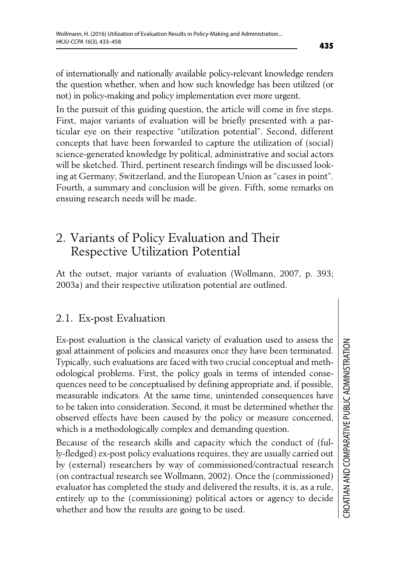of internationally and nationally available policy-relevant knowledge renders the question whether, when and how such knowledge has been utilized (or not) in policy-making and policy implementation ever more urgent.

In the pursuit of this guiding question, the article will come in five steps. First, major variants of evaluation will be briefly presented with a particular eye on their respective "utilization potential". Second, different concepts that have been forwarded to capture the utilization of (social) science-generated knowledge by political, administrative and social actors will be sketched. Third, pertinent research findings will be discussed looking at Germany, Switzerland, and the European Union as "cases in point". Fourth, a summary and conclusion will be given. Fifth, some remarks on ensuing research needs will be made.

# 2. Variants of Policy Evaluation and Their Respective Utilization Potential

At the outset, major variants of evaluation (Wollmann, 2007, p. 393; 2003a) and their respective utilization potential are outlined.

### 2.1. Ex-post Evaluation

Ex-post evaluation is the classical variety of evaluation used to assess the goal attainment of policies and measures once they have been terminated. Typically, such evaluations are faced with two crucial conceptual and methodological problems. First, the policy goals in terms of intended consequences need to be conceptualised by defining appropriate and, if possible, measurable indicators. At the same time, unintended consequences have to be taken into consideration. Second, it must be determined whether the observed effects have been caused by the policy or measure concerned, which is a methodologically complex and demanding question.

Because of the research skills and capacity which the conduct of (fully-fledged) ex-post policy evaluations requires, they are usually carried out by (external) researchers by way of commissioned/contractual research (on contractual research see Wollmann, 2002). Once the (commissioned) evaluator has completed the study and delivered the results, it is, as a rule, entirely up to the (commissioning) political actors or agency to decide whether and how the results are going to be used.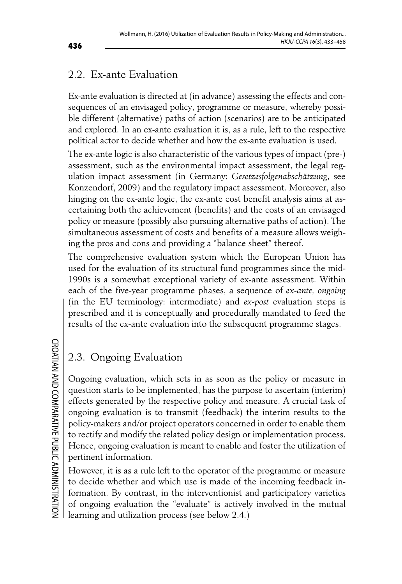### 2.2. Ex-ante Evaluation

Ex-ante evaluation is directed at (in advance) assessing the effects and consequences of an envisaged policy, programme or measure, whereby possible different (alternative) paths of action (scenarios) are to be anticipated and explored. In an ex-ante evaluation it is, as a rule, left to the respective political actor to decide whether and how the ex-ante evaluation is used.

The ex-ante logic is also characteristic of the various types of impact (pre-) assessment, such as the environmental impact assessment, the legal regulation impact assessment (in Germany: *Gesetzesfolgenabschätzung*, see Konzendorf, 2009) and the regulatory impact assessment. Moreover, also hinging on the ex-ante logic, the ex-ante cost benefit analysis aims at ascertaining both the achievement (benefits) and the costs of an envisaged policy or measure (possibly also pursuing alternative paths of action). The simultaneous assessment of costs and benefits of a measure allows weighing the pros and cons and providing a "balance sheet" thereof.

The comprehensive evaluation system which the European Union has used for the evaluation of its structural fund programmes since the mid-1990s is a somewhat exceptional variety of ex-ante assessment. Within each of the five-year programme phases, a sequence of *ex-ante, ongoing* (in the EU terminology: intermediate) and *ex-post* evaluation steps is prescribed and it is conceptually and procedurally mandated to feed the results of the ex-ante evaluation into the subsequent programme stages.

**CROATIAN AND COMPARATIVE PUBLIC ADMINISTRATION** CROATIAN AND COMPARATIVE PUBLIC ADMINISTRATION

### 2.3. Ongoing Evaluation

Ongoing evaluation, which sets in as soon as the policy or measure in question starts to be implemented, has the purpose to ascertain (interim) effects generated by the respective policy and measure. A crucial task of ongoing evaluation is to transmit (feedback) the interim results to the policy-makers and/or project operators concerned in order to enable them to rectify and modify the related policy design or implementation process. Hence, ongoing evaluation is meant to enable and foster the utilization of pertinent information.

However, it is as a rule left to the operator of the programme or measure to decide whether and which use is made of the incoming feedback information. By contrast, in the interventionist and participatory varieties of ongoing evaluation the "evaluate" is actively involved in the mutual learning and utilization process (see below 2.4.)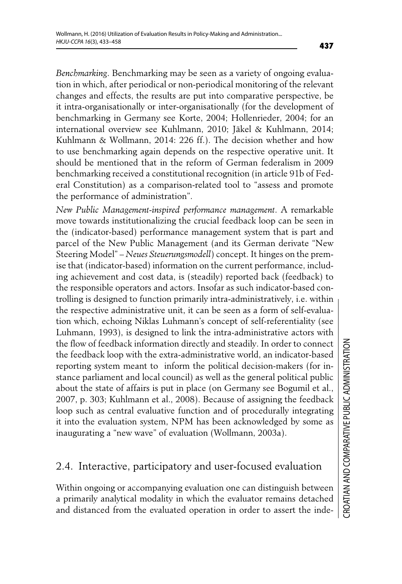*Benchmarking*. Benchmarking may be seen as a variety of ongoing evaluation in which, after periodical or non-periodical monitoring of the relevant changes and effects, the results are put into comparative perspective, be it intra-organisationally or inter-organisationally (for the development of benchmarking in Germany see Korte, 2004; Hollenrieder, 2004; for an international overview see Kuhlmann, 2010; Jäkel & Kuhlmann, 2014; Kuhlmann & Wollmann, 2014: 226 ff.). The decision whether and how to use benchmarking again depends on the respective operative unit. It should be mentioned that in the reform of German federalism in 2009 benchmarking received a constitutional recognition (in article 91b of Federal Constitution) as a comparison-related tool to "assess and promote the performance of administration".

*New Public Management-inspired performance management*. A remarkable move towards institutionalizing the crucial feedback loop can be seen in the (indicator-based) performance management system that is part and parcel of the New Public Management (and its German derivate "New Steering Model" – *Neues Steuerungsmodell*) concept. It hinges on the premise that (indicator-based) information on the current performance, including achievement and cost data, is (steadily) reported back (feedback) to the responsible operators and actors. Insofar as such indicator-based controlling is designed to function primarily intra-administratively, i.e. within the respective administrative unit, it can be seen as a form of self-evaluation which, echoing Niklas Luhmann's concept of self-referentiality (see Luhmann, 1993), is designed to link the intra-administrative actors with the flow of feedback information directly and steadily. In order to connect the feedback loop with the extra-administrative world, an indicator-based reporting system meant to inform the political decision-makers (for instance parliament and local council) as well as the general political public about the state of affairs is put in place (on Germany see Bogumil et al., 2007, p. 303; Kuhlmann et al., 2008). Because of assigning the feedback loop such as central evaluative function and of procedurally integrating it into the evaluation system, NPM has been acknowledged by some as inaugurating a "new wave" of evaluation (Wollmann, 2003a).

### 2.4. Interactive, participatory and user-focused evaluation

Within ongoing or accompanying evaluation one can distinguish between a primarily analytical modality in which the evaluator remains detached and distanced from the evaluated operation in order to assert the inde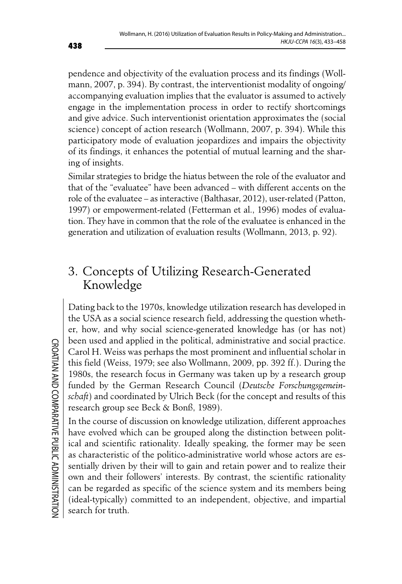pendence and objectivity of the evaluation process and its findings (Wollmann, 2007, p. 394). By contrast, the interventionist modality of ongoing/ accompanying evaluation implies that the evaluator is assumed to actively engage in the implementation process in order to rectify shortcomings and give advice. Such interventionist orientation approximates the (social science) concept of action research (Wollmann, 2007, p. 394). While this participatory mode of evaluation jeopardizes and impairs the objectivity of its findings, it enhances the potential of mutual learning and the sharing of insights.

Similar strategies to bridge the hiatus between the role of the evaluator and that of the "evaluatee" have been advanced – with different accents on the role of the evaluatee – as interactive (Balthasar, 2012), user-related (Patton, 1997) or empowerment-related (Fetterman et al., 1996) modes of evaluation. They have in common that the role of the evaluatee is enhanced in the generation and utilization of evaluation results (Wollmann, 2013, p. 92).

# 3. Concepts of Utilizing Research-Generated Knowledge

Dating back to the 1970s, knowledge utilization research has developed in the USA as a social science research field, addressing the question whether, how, and why social science-generated knowledge has (or has not) been used and applied in the political, administrative and social practice. Carol H. Weiss was perhaps the most prominent and influential scholar in this field (Weiss, 1979; see also Wollmann, 2009, pp. 392 ff.). During the 1980s, the research focus in Germany was taken up by a research group funded by the German Research Council (*Deutsche Forschungsgemeinschaft*) and coordinated by Ulrich Beck (for the concept and results of this research group see Beck & Bonß, 1989).

In the course of discussion on knowledge utilization, different approaches have evolved which can be grouped along the distinction between political and scientific rationality. Ideally speaking, the former may be seen as characteristic of the politico-administrative world whose actors are essentially driven by their will to gain and retain power and to realize their own and their followers' interests. By contrast, the scientific rationality can be regarded as specific of the science system and its members being (ideal-typically) committed to an independent, objective, and impartial search for truth.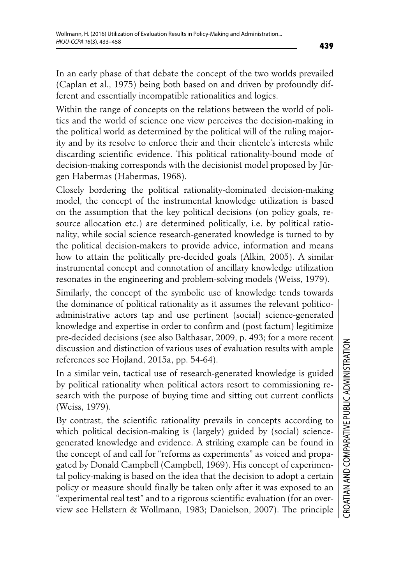In an early phase of that debate the concept of the two worlds prevailed (Caplan et al., 1975) being both based on and driven by profoundly different and essentially incompatible rationalities and logics.

Within the range of concepts on the relations between the world of politics and the world of science one view perceives the decision-making in the political world as determined by the political will of the ruling majority and by its resolve to enforce their and their clientele's interests while discarding scientific evidence. This political rationality-bound mode of decision-making corresponds with the decisionist model proposed by Jürgen Habermas (Habermas, 1968).

Closely bordering the political rationality-dominated decision-making model, the concept of the instrumental knowledge utilization is based on the assumption that the key political decisions (on policy goals, resource allocation etc.) are determined politically, i.e. by political rationality, while social science research-generated knowledge is turned to by the political decision-makers to provide advice, information and means how to attain the politically pre-decided goals (Alkin, 2005). A similar instrumental concept and connotation of ancillary knowledge utilization resonates in the engineering and problem-solving models (Weiss, 1979).

Similarly, the concept of the symbolic use of knowledge tends towards the dominance of political rationality as it assumes the relevant politicoadministrative actors tap and use pertinent (social) science-generated knowledge and expertise in order to confirm and (post factum) legitimize pre-decided decisions (see also Balthasar, 2009, p. 493; for a more recent discussion and distinction of various uses of evaluation results with ample references see Hojland, 2015a, pp. 54-64).

In a similar vein, tactical use of research-generated knowledge is guided by political rationality when political actors resort to commissioning research with the purpose of buying time and sitting out current conflicts (Weiss, 1979).

By contrast, the scientific rationality prevails in concepts according to which political decision-making is (largely) guided by (social) sciencegenerated knowledge and evidence. A striking example can be found in the concept of and call for "reforms as experiments" as voiced and propagated by Donald Campbell (Campbell, 1969). His concept of experimental policy-making is based on the idea that the decision to adopt a certain policy or measure should finally be taken only after it was exposed to an "experimental real test" and to a rigorous scientific evaluation (for an overview see Hellstern & Wollmann, 1983; Danielson, 2007). The principle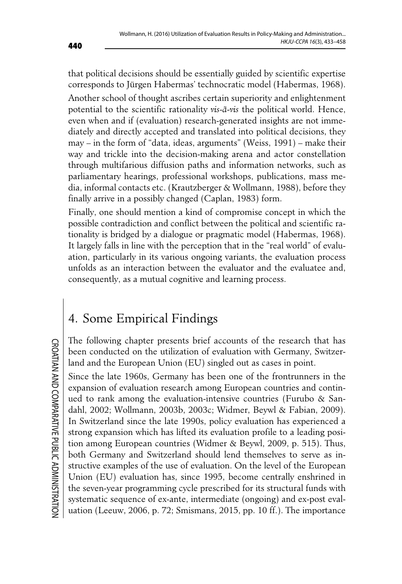that political decisions should be essentially guided by scientific expertise corresponds to Jürgen Habermas' technocratic model (Habermas, 1968).

Another school of thought ascribes certain superiority and enlightenment potential to the scientific rationality *vis-à-vis* the political world. Hence, even when and if (evaluation) research-generated insights are not immediately and directly accepted and translated into political decisions, they may – in the form of "data, ideas, arguments" (Weiss, 1991) – make their way and trickle into the decision-making arena and actor constellation through multifarious diffusion paths and information networks, such as parliamentary hearings, professional workshops, publications, mass media, informal contacts etc. (Krautzberger & Wollmann, 1988), before they finally arrive in a possibly changed (Caplan, 1983) form.

Finally, one should mention a kind of compromise concept in which the possible contradiction and conflict between the political and scientific rationality is bridged by a dialogue or pragmatic model (Habermas, 1968). It largely falls in line with the perception that in the "real world" of evaluation, particularly in its various ongoing variants, the evaluation process unfolds as an interaction between the evaluator and the evaluatee and, consequently, as a mutual cognitive and learning process.

# 4. Some Empirical Findings

The following chapter presents brief accounts of the research that has been conducted on the utilization of evaluation with Germany, Switzerland and the European Union (EU) singled out as cases in point.

Since the late 1960s, Germany has been one of the frontrunners in the expansion of evaluation research among European countries and continued to rank among the evaluation-intensive countries (Furubo & Sandahl, 2002; Wollmann, 2003b, 2003c; Widmer, Beywl & Fabian, 2009). In Switzerland since the late 1990s, policy evaluation has experienced a strong expansion which has lifted its evaluation profile to a leading position among European countries (Widmer & Beywl, 2009, p. 515). Thus, both Germany and Switzerland should lend themselves to serve as instructive examples of the use of evaluation. On the level of the European Union (EU) evaluation has, since 1995, become centrally enshrined in the seven-year programming cycle prescribed for its structural funds with systematic sequence of ex-ante, intermediate (ongoing) and ex-post evaluation (Leeuw, 2006, p. 72; Smismans, 2015, pp. 10 ff.). The importance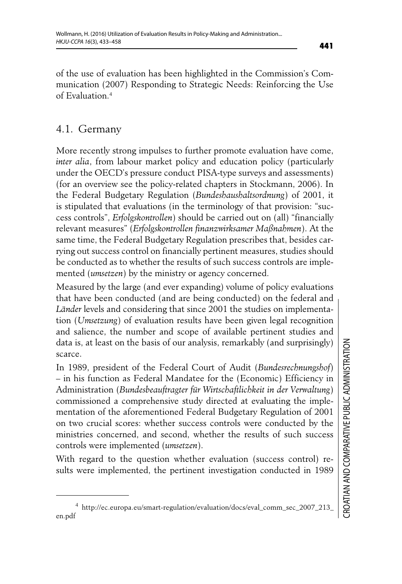of the use of evaluation has been highlighted in the Commission's Communication (2007) Responding to Strategic Needs: Reinforcing the Use of Evaluation.4

#### 4.1. Germany

More recently strong impulses to further promote evaluation have come, *inter alia*, from labour market policy and education policy (particularly under the OECD's pressure conduct PISA-type surveys and assessments) (for an overview see the policy-related chapters in Stockmann, 2006). In the Federal Budgetary Regulation (*Bundeshaushaltsordnung*) of 2001, it is stipulated that evaluations (in the terminology of that provision: "success controls", *Erfolgskontrollen*) should be carried out on (all) "financially relevant measures" (*Erfolgskontrollen finanzwirksamer Maßnahmen*). At the same time, the Federal Budgetary Regulation prescribes that, besides carrying out success control on financially pertinent measures, studies should be conducted as to whether the results of such success controls are implemented (*umsetzen*) by the ministry or agency concerned.

Measured by the large (and ever expanding) volume of policy evaluations that have been conducted (and are being conducted) on the federal and *Länder* levels and considering that since 2001 the studies on implementation (*Umsetzung*) of evaluation results have been given legal recognition and salience, the number and scope of available pertinent studies and data is, at least on the basis of our analysis, remarkably (and surprisingly) scarce.

In 1989, president of the Federal Court of Audit (*Bundesrechnungshof*) – in his function as Federal Mandatee for the (Economic) Efficiency in Administration (*Bundesbeauftragter für Wirtschaftlichkeit in der Verwaltung*) commissioned a comprehensive study directed at evaluating the implementation of the aforementioned Federal Budgetary Regulation of 2001 on two crucial scores: whether success controls were conducted by the ministries concerned, and second, whether the results of such success controls were implemented (*umsetzen*).

With regard to the question whether evaluation (success control) results were implemented, the pertinent investigation conducted in 1989

<sup>4</sup> http://ec.europa.eu/smart-regulation/evaluation/docs/eval\_comm\_sec\_2007\_213\_ en.pdf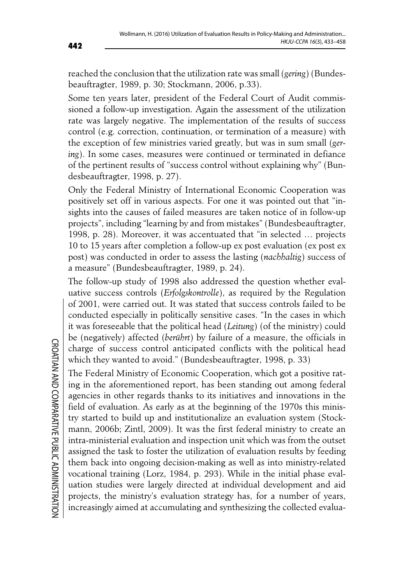reached the conclusion that the utilization rate was small (*gering*) (Bundesbeauftragter, 1989, p. 30; Stockmann, 2006, p.33).

Some ten years later, president of the Federal Court of Audit commissioned a follow-up investigation. Again the assessment of the utilization rate was largely negative. The implementation of the results of success control (e.g. correction, continuation, or termination of a measure) with the exception of few ministries varied greatly, but was in sum small (*gering*). In some cases, measures were continued or terminated in defiance of the pertinent results of "success control without explaining why" (Bundesbeauftragter, 1998, p. 27).

Only the Federal Ministry of International Economic Cooperation was positively set off in various aspects. For one it was pointed out that "insights into the causes of failed measures are taken notice of in follow-up projects", including "learning by and from mistakes" (Bundesbeauftragter, 1998, p. 28). Moreover, it was accentuated that "in selected … projects 10 to 15 years after completion a follow-up ex post evaluation (ex post ex post) was conducted in order to assess the lasting (*nachhaltig*) success of a measure" (Bundesbeauftragter, 1989, p. 24).

The follow-up study of 1998 also addressed the question whether evaluative success controls (*Erfolgskontrolle*), as required by the Regulation of 2001, were carried out. It was stated that success controls failed to be conducted especially in politically sensitive cases. "In the cases in which it was foreseeable that the political head (*Leitung*) (of the ministry) could be (negatively) affected (*berührt*) by failure of a measure, the officials in charge of success control anticipated conflicts with the political head which they wanted to avoid." (Bundesbeauftragter, 1998, p. 33)

The Federal Ministry of Economic Cooperation, which got a positive rating in the aforementioned report, has been standing out among federal agencies in other regards thanks to its initiatives and innovations in the field of evaluation. As early as at the beginning of the 1970s this ministry started to build up and institutionalize an evaluation system (Stockmann, 2006b; Zintl, 2009). It was the first federal ministry to create an intra-ministerial evaluation and inspection unit which was from the outset assigned the task to foster the utilization of evaluation results by feeding them back into ongoing decision-making as well as into ministry-related vocational training (Lorz, 1984, p. 293). While in the initial phase evaluation studies were largely directed at individual development and aid projects, the ministry's evaluation strategy has, for a number of years, increasingly aimed at accumulating and synthesizing the collected evalua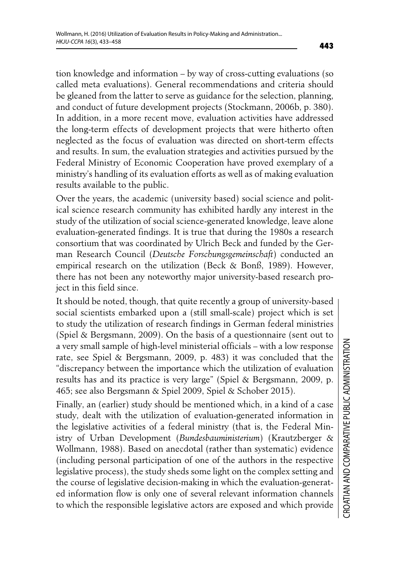tion knowledge and information – by way of cross-cutting evaluations (so called meta evaluations). General recommendations and criteria should be gleaned from the latter to serve as guidance for the selection, planning, and conduct of future development projects (Stockmann, 2006b, p. 380). In addition, in a more recent move, evaluation activities have addressed the long-term effects of development projects that were hitherto often neglected as the focus of evaluation was directed on short-term effects and results. In sum, the evaluation strategies and activities pursued by the Federal Ministry of Economic Cooperation have proved exemplary of a ministry's handling of its evaluation efforts as well as of making evaluation results available to the public.

Over the years, the academic (university based) social science and political science research community has exhibited hardly any interest in the study of the utilization of social science-generated knowledge, leave alone evaluation-generated findings. It is true that during the 1980s a research consortium that was coordinated by Ulrich Beck and funded by the German Research Council (*Deutsche Forschungsgemeinschaft*) conducted an empirical research on the utilization (Beck & Bonß, 1989). However, there has not been any noteworthy major university-based research project in this field since.

It should be noted, though, that quite recently a group of university-based social scientists embarked upon a (still small-scale) project which is set to study the utilization of research findings in German federal ministries (Spiel & Bergsmann, 2009). On the basis of a questionnaire (sent out to a very small sample of high-level ministerial officials – with a low response rate, see Spiel & Bergsmann, 2009, p. 483) it was concluded that the "discrepancy between the importance which the utilization of evaluation results has and its practice is very large" (Spiel & Bergsmann, 2009, p. 465; see also Bergsmann & Spiel 2009, Spiel & Schober 2015).

Finally, an (earlier) study should be mentioned which, in a kind of a case study, dealt with the utilization of evaluation-generated information in the legislative activities of a federal ministry (that is, the Federal Ministry of Urban Development (*Bundesbauministerium*) (Krautzberger & Wollmann, 1988). Based on anecdotal (rather than systematic) evidence (including personal participation of one of the authors in the respective legislative process), the study sheds some light on the complex setting and the course of legislative decision-making in which the evaluation-generated information flow is only one of several relevant information channels to which the responsible legislative actors are exposed and which provide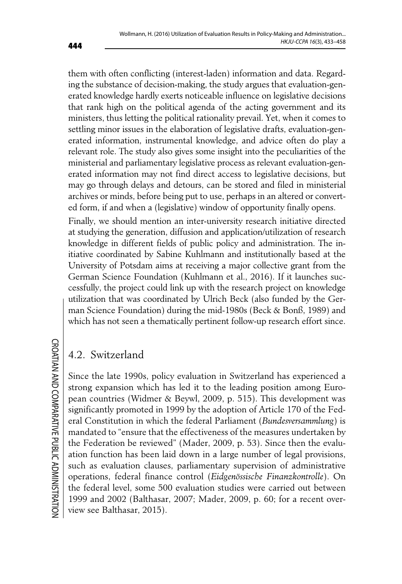them with often conflicting (interest-laden) information and data. Regarding the substance of decision-making, the study argues that evaluation-generated knowledge hardly exerts noticeable influence on legislative decisions that rank high on the political agenda of the acting government and its ministers, thus letting the political rationality prevail. Yet, when it comes to settling minor issues in the elaboration of legislative drafts, evaluation-generated information, instrumental knowledge, and advice often do play a relevant role. The study also gives some insight into the peculiarities of the ministerial and parliamentary legislative process as relevant evaluation-generated information may not find direct access to legislative decisions, but may go through delays and detours, can be stored and filed in ministerial archives or minds, before being put to use, perhaps in an altered or converted form, if and when a (legislative) window of opportunity finally opens.

Finally, we should mention an inter-university research initiative directed at studying the generation, diffusion and application/utilization of research knowledge in different fields of public policy and administration. The initiative coordinated by Sabine Kuhlmann and institutionally based at the University of Potsdam aims at receiving a major collective grant from the German Science Foundation (Kuhlmann et al., 2016). If it launches successfully, the project could link up with the research project on knowledge utilization that was coordinated by Ulrich Beck (also funded by the German Science Foundation) during the mid-1980s (Beck & Bonß, 1989) and which has not seen a thematically pertinent follow-up research effort since.

### 4.2. Switzerland

Since the late 1990s, policy evaluation in Switzerland has experienced a strong expansion which has led it to the leading position among European countries (Widmer & Beywl, 2009, p. 515). This development was significantly promoted in 1999 by the adoption of Article 170 of the Federal Constitution in which the federal Parliament (*Bundesversammlung*) is mandated to "ensure that the effectiveness of the measures undertaken by the Federation be reviewed" (Mader, 2009, p. 53). Since then the evaluation function has been laid down in a large number of legal provisions, such as evaluation clauses, parliamentary supervision of administrative operations, federal finance control (*Eidgenössische Finanzkontrolle*). On the federal level, some 500 evaluation studies were carried out between 1999 and 2002 (Balthasar, 2007; Mader, 2009, p. 60; for a recent overview see Balthasar, 2015).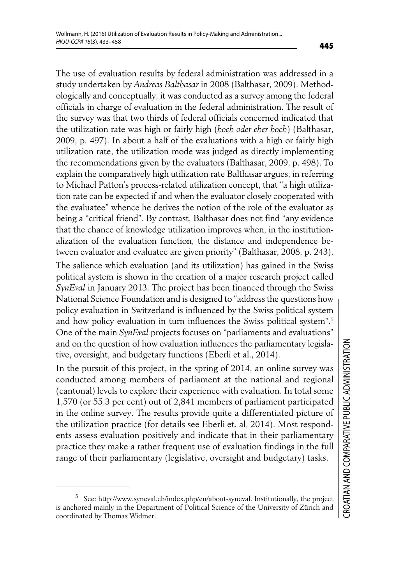The use of evaluation results by federal administration was addressed in a study undertaken by *Andreas Balthasar* in 2008 (Balthasar, 2009). Methodologically and conceptually, it was conducted as a survey among the federal officials in charge of evaluation in the federal administration. The result of the survey was that two thirds of federal officials concerned indicated that the utilization rate was high or fairly high (*hoch oder eher hoch*) (Balthasar, 2009, p. 497). In about a half of the evaluations with a high or fairly high utilization rate, the utilization mode was judged as directly implementing the recommendations given by the evaluators (Balthasar, 2009, p. 498). To explain the comparatively high utilization rate Balthasar argues, in referring to Michael Patton's process-related utilization concept, that "a high utilization rate can be expected if and when the evaluator closely cooperated with the evaluatee" whence he derives the notion of the role of the evaluator as being a "critical friend". By contrast, Balthasar does not find "any evidence that the chance of knowledge utilization improves when, in the institutionalization of the evaluation function, the distance and independence between evaluator and evaluatee are given priority" (Balthasar, 2008, p. 243).

The salience which evaluation (and its utilization) has gained in the Swiss political system is shown in the creation of a major research project called *SynEval* in January 2013. The project has been financed through the Swiss National Science Foundation and is designed to "address the questions how policy evaluation in Switzerland is influenced by the Swiss political system and how policy evaluation in turn influences the Swiss political system".<sup>5</sup> One of the main *SynEval* projects focuses on "parliaments and evaluations" and on the question of how evaluation influences the parliamentary legislative, oversight, and budgetary functions (Eberli et al., 2014).

In the pursuit of this project, in the spring of 2014, an online survey was conducted among members of parliament at the national and regional (cantonal) levels to explore their experience with evaluation. In total some 1,570 (or 55.3 per cent) out of 2,841 members of parliament participated in the online survey. The results provide quite a differentiated picture of the utilization practice (for details see Eberli et. al, 2014). Most respondents assess evaluation positively and indicate that in their parliamentary practice they make a rather frequent use of evaluation findings in the full range of their parliamentary (legislative, oversight and budgetary) tasks.

<sup>5</sup> See: http://www.syneval.ch/index.php/en/about-syneval. Institutionally, the project is anchored mainly in the Department of Political Science of the University of Zürich and coordinated by Thomas Widmer.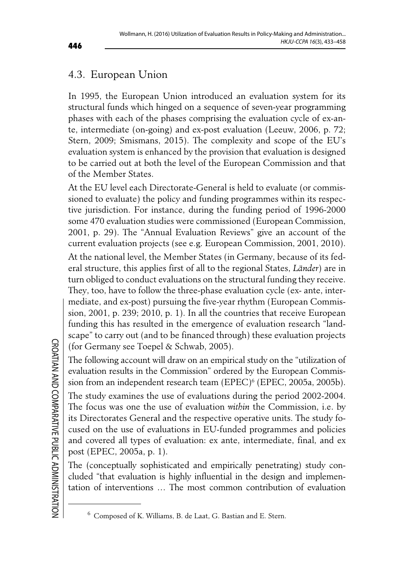### 4.3. European Union

In 1995, the European Union introduced an evaluation system for its structural funds which hinged on a sequence of seven-year programming phases with each of the phases comprising the evaluation cycle of ex-ante, intermediate (on-going) and ex-post evaluation (Leeuw, 2006, p. 72; Stern, 2009; Smismans, 2015). The complexity and scope of the EU's evaluation system is enhanced by the provision that evaluation is designed to be carried out at both the level of the European Commission and that of the Member States.

At the EU level each Directorate-General is held to evaluate (or commissioned to evaluate) the policy and funding programmes within its respective jurisdiction. For instance, during the funding period of 1996-2000 some 470 evaluation studies were commissioned (European Commission, 2001, p. 29). The "Annual Evaluation Reviews" give an account of the current evaluation projects (see e.g. European Commission, 2001, 2010). At the national level, the Member States (in Germany, because of its federal structure, this applies first of all to the regional States, *Länder*) are in turn obliged to conduct evaluations on the structural funding they receive. They, too, have to follow the three-phase evaluation cycle (ex- ante, intermediate, and ex-post) pursuing the five-year rhythm (European Commission, 2001, p. 239; 2010, p. 1). In all the countries that receive European funding this has resulted in the emergence of evaluation research "landscape" to carry out (and to be financed through) these evaluation projects (for Germany see Toepel & Schwab, 2005).

The following account will draw on an empirical study on the "utilization of evaluation results in the Commission" ordered by the European Commission from an independent research team (EPEC)<sup>6</sup> (EPEC, 2005a, 2005b).

The study examines the use of evaluations during the period 2002-2004. The focus was one the use of evaluation *within* the Commission, i.e. by its Directorates General and the respective operative units. The study focused on the use of evaluations in EU-funded programmes and policies and covered all types of evaluation: ex ante, intermediate, final, and ex post (EPEC, 2005a, p. 1).

The (conceptually sophisticated and empirically penetrating) study concluded "that evaluation is highly influential in the design and implementation of interventions … The most common contribution of evaluation

<sup>6</sup> Composed of K. Williams, B. de Laat, G. Bastian and E. Stern.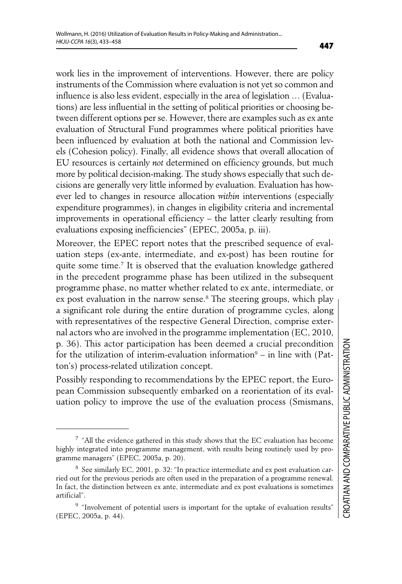work lies in the improvement of interventions. However, there are policy instruments of the Commission where evaluation is not yet so common and influence is also less evident, especially in the area of legislation … (Evaluations) are less influential in the setting of political priorities or choosing between different options per se. However, there are examples such as ex ante evaluation of Structural Fund programmes where political priorities have been influenced by evaluation at both the national and Commission levels (Cohesion policy). Finally, all evidence shows that overall allocation of EU resources is certainly *not* determined on efficiency grounds, but much more by political decision-making. The study shows especially that such decisions are generally very little informed by evaluation. Evaluation has however led to changes in resource allocation *within* interventions (especially expenditure programmes), in changes in eligibility criteria and incremental improvements in operational efficiency – the latter clearly resulting from evaluations exposing inefficiencies" (EPEC, 2005a, p. iii).

Moreover, the EPEC report notes that the prescribed sequence of evaluation steps (ex-ante, intermediate, and ex-post) has been routine for quite some time.7 It is observed that the evaluation knowledge gathered in the precedent programme phase has been utilized in the subsequent programme phase, no matter whether related to ex ante, intermediate, or ex post evaluation in the narrow sense.8 The steering groups, which play a significant role during the entire duration of programme cycles, along with representatives of the respective General Direction, comprise external actors who are involved in the programme implementation (EC, 2010, p. 36). This actor participation has been deemed a crucial precondition for the utilization of interim-evaluation information<sup>9</sup> – in line with (Patton's) process-related utilization concept.

Possibly responding to recommendations by the EPEC report, the European Commission subsequently embarked on a reorientation of its evaluation policy to improve the use of the evaluation process (Smismans,

<sup>7</sup> "All the evidence gathered in this study shows that the EC evaluation has become highly integrated into programme management, with results being routinely used by programme managers" (EPEC, 2005a, p. 20).

<sup>8</sup> See similarly EC, 2001, p. 32: "In practice intermediate and ex post evaluation carried out for the previous periods are often used in the preparation of a programme renewal. In fact, the distinction between ex ante, intermediate and ex post evaluations is sometimes artificial".

<sup>&</sup>lt;sup>9</sup> "Involvement of potential users is important for the uptake of evaluation results' (EPEC, 2005a, p. 44).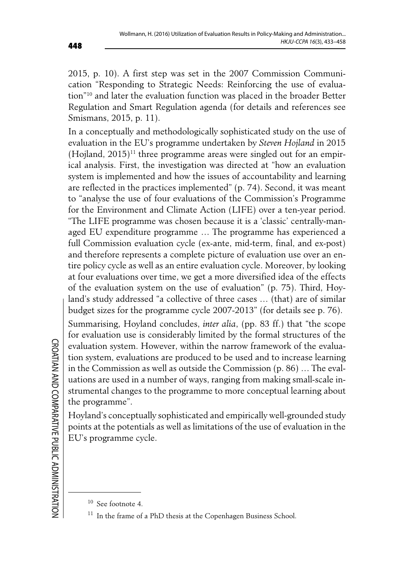2015, p. 10). A first step was set in the 2007 Commission Communication "Responding to Strategic Needs: Reinforcing the use of evaluation"10 and later the evaluation function was placed in the broader Better Regulation and Smart Regulation agenda (for details and references see Smismans, 2015, p. 11).

In a conceptually and methodologically sophisticated study on the use of evaluation in the EU's programme undertaken by *Steven Hojland* in 2015  $(Hoiland, 2015)^{11}$  three programme areas were singled out for an empirical analysis. First, the investigation was directed at "how an evaluation system is implemented and how the issues of accountability and learning are reflected in the practices implemented" (p. 74). Second, it was meant to "analyse the use of four evaluations of the Commission's Programme for the Environment and Climate Action (LIFE) over a ten-year period. "The LIFE programme was chosen because it is a 'classic' centrally-managed EU expenditure programme … The programme has experienced a full Commission evaluation cycle (ex-ante, mid-term, final, and ex-post) and therefore represents a complete picture of evaluation use over an entire policy cycle as well as an entire evaluation cycle. Moreover, by looking at four evaluations over time, we get a more diversified idea of the effects of the evaluation system on the use of evaluation" (p. 75). Third, Hoyland's study addressed "a collective of three cases … (that) are of similar budget sizes for the programme cycle 2007-2013" (for details see p. 76).

Summarising, Hoyland concludes, *inter alia*, (pp. 83 ff.) that "the scope for evaluation use is considerably limited by the formal structures of the evaluation system. However, within the narrow framework of the evaluation system, evaluations are produced to be used and to increase learning in the Commission as well as outside the Commission (p. 86) … The evaluations are used in a number of ways, ranging from making small-scale instrumental changes to the programme to more conceptual learning about the programme".

Hoyland's conceptually sophisticated and empirically well-grounded study points at the potentials as well as limitations of the use of evaluation in the EU's programme cycle.

<sup>10</sup> See footnote 4.

In the frame of a PhD thesis at the Copenhagen Business School.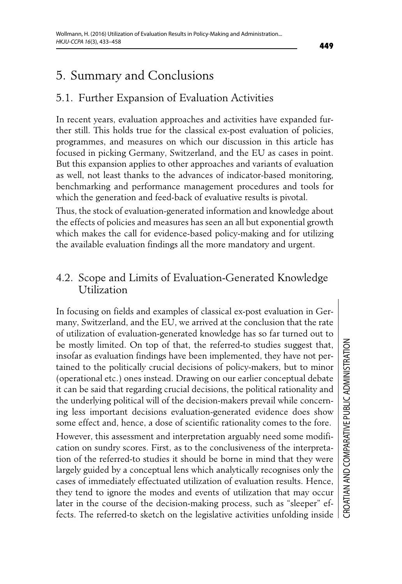# 5. Summary and Conclusions

### 5.1. Further Expansion of Evaluation Activities

In recent years, evaluation approaches and activities have expanded further still. This holds true for the classical ex-post evaluation of policies, programmes, and measures on which our discussion in this article has focused in picking Germany, Switzerland, and the EU as cases in point. But this expansion applies to other approaches and variants of evaluation as well, not least thanks to the advances of indicator-based monitoring, benchmarking and performance management procedures and tools for which the generation and feed-back of evaluative results is pivotal.

Thus, the stock of evaluation-generated information and knowledge about the effects of policies and measures has seen an all but exponential growth which makes the call for evidence-based policy-making and for utilizing the available evaluation findings all the more mandatory and urgent.

#### 4.2. Scope and Limits of Evaluation-Generated Knowledge Utilization

In focusing on fields and examples of classical ex-post evaluation in Germany, Switzerland, and the EU, we arrived at the conclusion that the rate of utilization of evaluation-generated knowledge has so far turned out to be mostly limited. On top of that, the referred-to studies suggest that, insofar as evaluation findings have been implemented, they have not pertained to the politically crucial decisions of policy-makers, but to minor (operational etc.) ones instead. Drawing on our earlier conceptual debate it can be said that regarding crucial decisions, the political rationality and the underlying political will of the decision-makers prevail while concerning less important decisions evaluation-generated evidence does show some effect and, hence, a dose of scientific rationality comes to the fore.

However, this assessment and interpretation arguably need some modification on sundry scores. First, as to the conclusiveness of the interpretation of the referred-to studies it should be borne in mind that they were largely guided by a conceptual lens which analytically recognises only the cases of immediately effectuated utilization of evaluation results. Hence, they tend to ignore the modes and events of utilization that may occur later in the course of the decision-making process, such as "sleeper" effects. The referred-to sketch on the legislative activities unfolding inside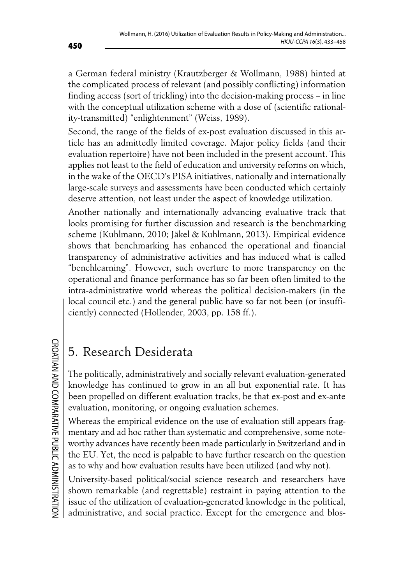a German federal ministry (Krautzberger & Wollmann, 1988) hinted at the complicated process of relevant (and possibly conflicting) information finding access (sort of trickling) into the decision-making process – in line with the conceptual utilization scheme with a dose of (scientific rationality-transmitted) "enlightenment" (Weiss, 1989).

Second, the range of the fields of ex-post evaluation discussed in this article has an admittedly limited coverage. Major policy fields (and their evaluation repertoire) have not been included in the present account. This applies not least to the field of education and university reforms on which, in the wake of the OECD's PISA initiatives, nationally and internationally large-scale surveys and assessments have been conducted which certainly deserve attention, not least under the aspect of knowledge utilization.

Another nationally and internationally advancing evaluative track that looks promising for further discussion and research is the benchmarking scheme (Kuhlmann, 2010; Jäkel & Kuhlmann, 2013). Empirical evidence shows that benchmarking has enhanced the operational and financial transparency of administrative activities and has induced what is called "benchlearning". However, such overture to more transparency on the operational and finance performance has so far been often limited to the intra-administrative world whereas the political decision-makers (in the local council etc.) and the general public have so far not been (or insufficiently) connected (Hollender, 2003, pp. 158 ff.).

# 5. Research Desiderata

The politically, administratively and socially relevant evaluation-generated knowledge has continued to grow in an all but exponential rate. It has been propelled on different evaluation tracks, be that ex-post and ex-ante evaluation, monitoring, or ongoing evaluation schemes.

Whereas the empirical evidence on the use of evaluation still appears fragmentary and ad hoc rather than systematic and comprehensive, some noteworthy advances have recently been made particularly in Switzerland and in the EU. Yet, the need is palpable to have further research on the question as to why and how evaluation results have been utilized (and why not).

University-based political/social science research and researchers have shown remarkable (and regrettable) restraint in paying attention to the issue of the utilization of evaluation-generated knowledge in the political, administrative, and social practice. Except for the emergence and blos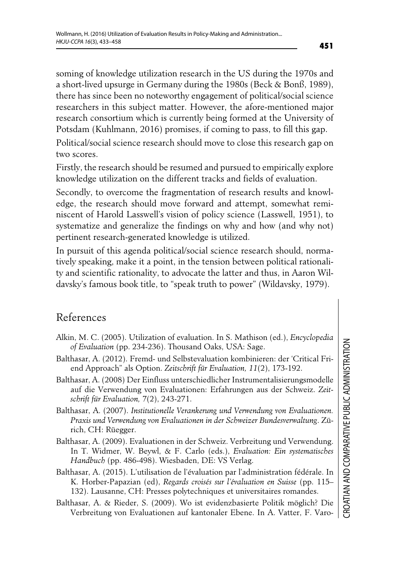soming of knowledge utilization research in the US during the 1970s and a short-lived upsurge in Germany during the 1980s (Beck & Bonß, 1989), there has since been no noteworthy engagement of political/social science researchers in this subject matter. However, the afore-mentioned major research consortium which is currently being formed at the University of Potsdam (Kuhlmann, 2016) promises, if coming to pass, to fill this gap.

Political/social science research should move to close this research gap on two scores.

Firstly, the research should be resumed and pursued to empirically explore knowledge utilization on the different tracks and fields of evaluation.

Secondly, to overcome the fragmentation of research results and knowledge, the research should move forward and attempt, somewhat reminiscent of Harold Lasswell's vision of policy science (Lasswell, 1951), to systematize and generalize the findings on why and how (and why not) pertinent research-generated knowledge is utilized.

In pursuit of this agenda political/social science research should, normatively speaking, make it a point, in the tension between political rationality and scientific rationality, to advocate the latter and thus, in Aaron Wildavsky's famous book title, to "speak truth to power" (Wildavsky, 1979).

### References

- Alkin, M. C. (2005). Utilization of evaluation. In S. Mathison (ed.), *Encyclopedia of Evaluation* (pp. 234-236). Thousand Oaks, USA: Sage.
- Balthasar, A. (2012). Fremd- und Selbstevaluation kombinieren: der 'Critical Friend Approach" als Option. *Zeitschrift für Evaluation, 11*(2), 173-192.
- Balthasar, A. (2008) Der Einfluss unterschiedlicher Instrumentalisierungsmodelle auf die Verwendung von Evaluationen: Erfahrungen aus der Schweiz. *Zeitschrift für Evaluation, 7*(2), 243-271.
- Balthasar, A. (2007). *Institutionelle Verankerung und Verwendung von Evaluationen. Praxis und Verwendung von Evaluationen in der Schweizer Bundesverwaltung*. Zürich, CH: Rüegger.
- Balthasar, A. (2009). Evaluationen in der Schweiz. Verbreitung und Verwendung. In T. Widmer, W. Beywl, & F. Carlo (eds.), *Evaluation: Ein systematisches Handbuch* (pp. 486-498). Wiesbaden, DE: VS Verlag.
- Balthasar, A. (2015). L'utilisation de l'évaluation par l'administration fédérale. In K. Horber-Papazian (ed), *Regards croisés sur l'évaluation en Suisse* (pp. 115– 132). Lausanne, CH: Presses polytechniques et universitaires romandes.
- Balthasar, A. & Rieder, S. (2009). Wo ist evidenzbasierte Politik möglich? Die Verbreitung von Evaluationen auf kantonaler Ebene. In A. Vatter, F. Varo-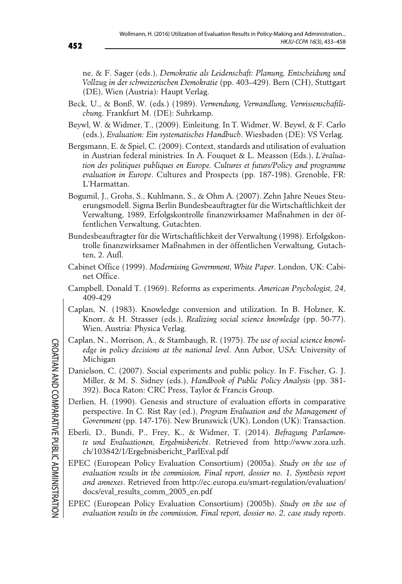ne, & F. Sager (eds.), *Demokratie als Leidenschaft: Planung, Entscheidung und Vollzug in der schweizerischen Demokratie* (pp. 403–429). Bern (CH), Stuttgart (DE), Wien (Austria): Haupt Verlag.

- Beck, U., & Bonß, W. (eds.) (1989). *Verwendung, Verwandlung, Verwissenschaftlichung*. Frankfurt M. (DE): Suhrkamp.
- Beywl, W. & Widmer, T., (2009). Einleitung. In T. Widmer, W. Beywl, & F. Carlo (eds.), *Evaluation: Ein systematisches Handbuch*. Wiesbaden (DE): VS Verlag.
- Bergsmann, E. & Spiel, C. (2009). Context, standards and utilisation of evaluation in Austrian federal ministries*.* In A. Fouquet & L. Measson (Eds.), *L'évaluation des politiques publiques en Europe. Cultures et futurs/Policy and programme evaluation in Europe*. Cultures and Prospects (pp. 187-198). Grenoble, FR: L'Harmattan.
- Bogumil, J., Grohs, S., Kuhlmann, S., & Ohm A. (2007). Zehn Jahre Neues Steuerungsmodell. Sigma Berlin Bundesbeauftragter für die Wirtschaftlichkeit der Verwaltung, 1989, Erfolgskontrolle finanzwirksamer Maßnahmen in der öffentlichen Verwaltung, Gutachten.
- Bundesbeauftragter für die Wirtschaftlichkeit der Verwaltung (1998). Erfolgskontrolle finanzwirksamer Maßnahmen in der öffentlichen Verwaltung, Gutachten, 2. Aufl.
- Cabinet Office (1999). *Modernising Government, White Paper*. London, UK: Cabinet Office.
- Campbell, Donald T. (1969). Reforms as experiments. *American Psychologist, 24*, 409-429
- Caplan, N. (1983). Knowledge conversion and utilization. In B. Holzner, K. Knorr, & H. Strasser (eds.), *Realizing social science knowledge* (pp. 50-77). Wien, Austria: Physica Verlag.
- Caplan, N., Morrison, A., & Stambaugh, R. (1975). *The use of social science knowledge in policy decisions at the national level*. Ann Arbor, USA: University of Michigan
- Danielson, C. (2007). Social experiments and public policy. In F. Fischer, G. J. Miller, & M. S. Sidney (eds.), *Handbook of Public Policy Analysis* (pp. 381- 392). Boca Raton: CRC Press, Taylor & Francis Group.
- Derlien, H. (1990). Genesis and structure of evaluation efforts in comparative perspective. In C. Rist Ray (ed.), *Program Evaluation and the Management of Government* (pp. 147-176). New Brunswick (UK), London (UK): Transaction.
- Eberli, D., Bundi, P., Frey, K., & Widmer, T. (2014). *Befragung Parlamente und Evaluationen, Ergebnisbericht*. Retrieved from http://www.zora.uzh. ch/103842/1/Ergebnisbericht\_ParlEval.pdf
- EPEC (European Policy Evaluation Consortium) (2005a). *Study on the use of evaluation results in the commission, Final report, dossier no. 1, Synthesis report and annexes*. Retrieved from http://ec.europa.eu/smart-regulation/evaluation/ docs/eval\_results\_comm\_2005\_en.pdf
- EPEC (European Policy Evaluation Consortium) (2005b). *Study on the use of evaluation results in the commission, Final report, dossier no. 2, case study reports*.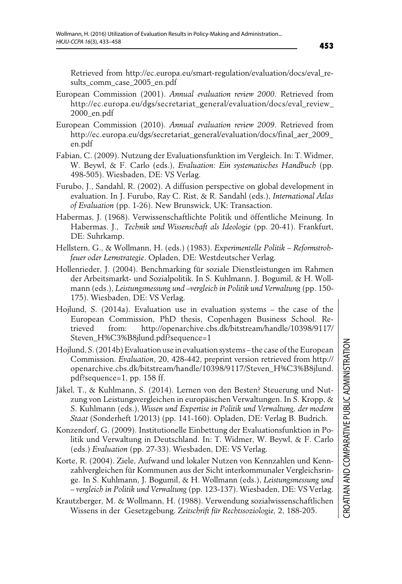Retrieved from http://ec.europa.eu/smart-regulation/evaluation/docs/eval\_results\_comm\_case\_2005\_en.pdf

- European Commission (2001). *Annual evaluation review 2000*. Retrieved from http://ec.europa.eu/dgs/secretariat\_general/evaluation/docs/eval\_review\_ 2000\_en.pdf
- European Commission (2010). *Annual evaluation review 2009*. Retrieved from http://ec.europa.eu/dgs/secretariat\_general/evaluation/docs/final\_aer\_2009\_ en.pdf
- Fabian, C. (2009). Nutzung der Evaluationsfunktion im Vergleich. In: T. Widmer, W. Beywl, & F. Carlo (eds.), *Evaluation: Ein systematisches Handbuch* (pp. 498-505). Wiesbaden, DE: VS Verlag.
- Furubo, J., Sandahl, R. (2002). A diffusion perspective on global development in evaluation. In J. Furubo, Ray C. Rist, & R. Sandahl (eds.), *International Atlas of Evaluation* (pp. 1-26). New Brunswick, UK: Transaction.
- Habermas, J. (1968). Verwissenschaftlichte Politik und öffentliche Meinung. In Habermas. J., *Technik und Wissenschaft als Ideologie* (pp. 20-41). Frankfurt, DE: Suhrkamp.
- Hellstern, G., & Wollmann, H. (eds.) (1983). *Experimentelle Politik Reformstrohfeuer oder Lernstrategie*. Opladen, DE: Westdeutscher Verlag.
- Hollenrieder, J. (2004). Benchmarking für soziale Dienstleistungen im Rahmen der Arbeitsmarkt- und Sozialpolitik. In S. Kuhlmann, J. Bogumil, & H. Wollmann (eds.), *Leistungsmessung und –vergleich in Politik und Verwaltung* (pp. 150- 175). Wiesbaden, DE: VS Verlag.
- Hojlund, S. (2014a). Evaluation use in evaluation systems the case of the European Commission, PhD thesis, Copenhagen Business School. Retrieved from: http://openarchive.cbs.dk/bitstream/handle/10398/9117/ Steven\_H%C3%B8jlund.pdf?sequence=1
- Hojlund, S. (2014b) Evaluation use in evaluation systems the case of the European Commission. *Evaluation*, 20, 428-442, preprint version retrieved from http:// openarchive.cbs.dk/bitstream/handle/10398/9117/Steven\_H%C3%B8jlund. pdf?sequence=1, pp. 158 ff.
- Jäkel, T., & Kuhlmann, S. (2014). Lernen von den Besten? Steuerung und Nutzung von Leistungsvergleichen in europäischen Verwaltungen. In S. Kropp, & S. Kuhlmann (eds.), *Wissen und Expertise in Politik und Verwaltung, der modern Staat* (Sonderheft 1/2013) (pp. 141-160). Opladen, DE: Verlag B. Budrich.
- Konzendorf, G. (2009). Institutionelle Einbettung der Evaluationsfunktion in Politik und Verwaltung in Deutschland. In: T. Widmer, W. Beywl, & F. Carlo (eds.) *Evaluation* (pp. 27-33). Wiesbaden, DE: VS Verlag.
- Korte, R. (2004). Ziele, Aufwand und lokaler Nutzen von Kennzahlen und Kennzahlvergleichen für Kommunen aus der Sicht interkommunaler Vergleichsringe. In S. Kuhlmann, J. Bogumil, & H. Wollmann (eds.), *Leistungsmessung und – vergleich in Politik und Verwaltung* (pp. 123-137). Wiesbaden, DE: VS Verlag.

Krautzberger, M. & Wollmann, H. (1988). Verwendung sozialwissenschaftlichen Wissens in der Gesetzgebung. *Zeitschrift für Rechtssoziologie,* 2, 188-205.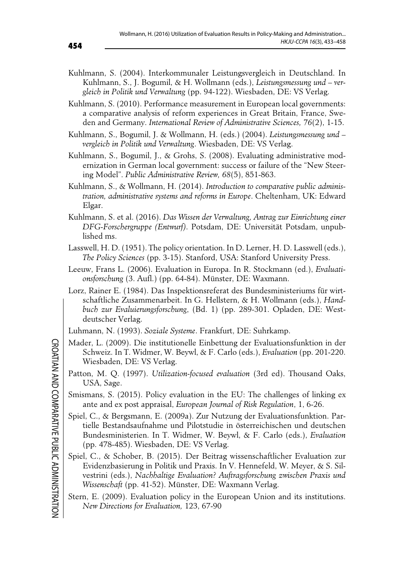- Kuhlmann, S. (2004). Interkommunaler Leistungsvergleich in Deutschland. In Kuhlmann, S., J. Bogumil, & H. Wollmann (eds.), *Leistungsmessung und – vergleich in Politik und Verwaltung* (pp. 94-122). Wiesbaden, DE: VS Verlag.
- Kuhlmann, S. (2010). Performance measurement in European local governments: a comparative analysis of reform experiences in Great Britain, France, Sweden and Germany. *International Review of Administrative Sciences, 76*(2), 1-15.
- Kuhlmann, S., Bogumil, J. & Wollmann, H. (eds.) (2004). *Leistungsmessung und vergleich in Politik und Verwaltung*. Wiesbaden, DE: VS Verlag.
- Kuhlmann, S., Bogumil, J., & Grohs, S. (2008). Evaluating administrative modernization in German local government: success or failure of the "New Steering Model". *Public Administrative Review, 68*(5), 851-863.
- Kuhlmann, S., & Wollmann, H. (2014). *Introduction to comparative public administration, administrative systems and reforms in Europe*. Cheltenham, UK: Edward Elgar.
- Kuhlmann, S. et al. (2016). *Das Wissen der Verwaltung, Antrag zur Einrichtung einer DFG-Forschergruppe (Entwurf)*. Potsdam, DE: Universität Potsdam, unpublished ms.
- Lasswell, H. D. (1951). The policy orientation. In D. Lerner, H. D. Lasswell (eds.), *The Policy Sciences* (pp. 3-15). Stanford, USA: Stanford University Press.
- Leeuw, Frans L. (2006). Evaluation in Europa. In R. Stockmann (ed.), *Evaluationsforschung* (3. Aufl.) (pp. 64-84). Münster, DE: Waxmann.
- Lorz, Rainer E. (1984). Das Inspektionsreferat des Bundesministeriums für wirtschaftliche Zusammenarbeit. In G. Hellstern, & H. Wollmann (eds.), *Handbuch zur Evaluierungsforschung*, (Bd. 1) (pp. 289-301. Opladen, DE: Westdeutscher Verlag.
- Luhmann, N. (1993). *Soziale Systeme*. Frankfurt, DE: Suhrkamp.
- Mader, L. (2009). Die institutionelle Einbettung der Evaluationsfunktion in der Schweiz. In T. Widmer, W. Beywl, & F. Carlo (eds.), *Evaluation* (pp. 201-220. Wiesbaden, DE: VS Verlag.
- Patton, M. Q. (1997). *Utilization-focused evaluation* (3rd ed). Thousand Oaks, USA, Sage.
- Smismans, S. (2015). Policy evaluation in the EU: The challenges of linking ex ante and ex post appraisal, *European Journal of Risk Regulation*, 1, 6-26.
- Spiel, C., & Bergsmann, E. (2009a). Zur Nutzung der Evaluationsfunktion. Partielle Bestandsaufnahme und Pilotstudie in österreichischen und deutschen Bundesministerien. In T. Widmer, W. Beywl, & F. Carlo (eds.), *Evaluation* (pp. 478-485). Wiesbaden, DE: VS Verlag.
- Spiel, C., & Schober, B. (2015). Der Beitrag wissenschaftlicher Evaluation zur Evidenzbasierung in Politik und Praxis. In V. Hennefeld, W. Meyer, & S. Silvestrini (eds.), *Nachhaltige Evaluation? Auftragsforschung zwischen Praxis und Wissenschaft* (pp. 41-52). Münster, DE: Waxmann Verlag.
- Stern, E. (2009). Evaluation policy in the European Union and its institutions. *New Directions for Evaluation,* 123, 67-90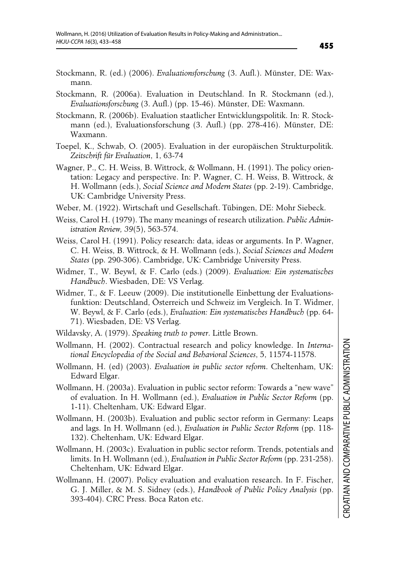- Stockmann, R. (ed.) (2006). *Evaluationsforschung* (3. Aufl.). Münster, DE: Waxmann.
- Stockmann, R. (2006a). Evaluation in Deutschland. In R. Stockmann (ed.), *Evaluationsforschung* (3. Aufl.) (pp. 15-46). Münster, DE: Waxmann.
- Stockmann, R. (2006b). Evaluation staatlicher Entwicklungspolitik. In: R. Stockmann (ed.), Evaluationsforschung (3. Aufl.) (pp. 278-416). Münster, DE: Waxmann.
- Toepel, K., Schwab, O. (2005). Evaluation in der europäischen Strukturpolitik. *Zeitschrift für Evaluation*, 1, 63-74
- Wagner, P., C. H. Weiss, B. Wittrock, & Wollmann, H. (1991). The policy orientation: Legacy and perspective. In: P. Wagner, C. H. Weiss, B. Wittrock, & H. Wollmann (eds.), *Social Science and Modern States* (pp. 2-19). Cambridge, UK: Cambridge University Press.
- Weber, M. (1922). Wirtschaft und Gesellschaft. Tübingen, DE: Mohr Siebeck.
- Weiss, Carol H. (1979). The many meanings of research utilization. *Public Administration Review, 39*(5), 563-574.
- Weiss, Carol H. (1991). Policy research: data, ideas or arguments. In P. Wagner, C. H. Weiss, B. Wittrock, & H. Wollmann (eds.), *Social Sciences and Modern States* (pp. 290-306). Cambridge, UK: Cambridge University Press.
- Widmer, T., W. Beywl, & F. Carlo (eds.) (2009). *Evaluation: Ein systematisches Handbuch*. Wiesbaden, DE: VS Verlag.
- Widmer, T., & F. Leeuw (2009). Die institutionelle Einbettung der Evaluationsfunktion: Deutschland, Österreich und Schweiz im Vergleich. In T. Widmer, W. Beywl, & F. Carlo (eds.), *Evaluation: Ein systematisches Handbuch* (pp. 64- 71). Wiesbaden, DE: VS Verlag.
- Wildavsky, A. (1979). *Speaking truth to power*. Little Brown.
- Wollmann, H. (2002). Contractual research and policy knowledge. In *International Encyclopedia of the Social and Behavioral Sciences*, 5, 11574-11578.
- Wollmann, H. (ed) (2003). *Evaluation in public sector reform*. Cheltenham, UK: Edward Elgar.
- Wollmann, H. (2003a). Evaluation in public sector reform: Towards a "new wave" of evaluation. In H. Wollmann (ed.), *Evaluation in Public Sector Reform* (pp. 1-11). Cheltenham, UK: Edward Elgar.
- Wollmann, H. (2003b). Evaluation and public sector reform in Germany: Leaps and lags. In H. Wollmann (ed.), *Evaluation in Public Sector Reform* (pp. 118- 132). Cheltenham, UK: Edward Elgar.
- Wollmann, H. (2003c). Evaluation in public sector reform. Trends, potentials and limits. In H. Wollmann (ed.), *Evaluation in Public Sector Reform* (pp. 231-258). Cheltenham, UK: Edward Elgar.
- Wollmann, H. (2007). Policy evaluation and evaluation research. In F. Fischer, G. J. Miller, & M. S. Sidney (eds.), *Handbook of Public Policy Analysis* (pp. 393-404). CRC Press. Boca Raton etc.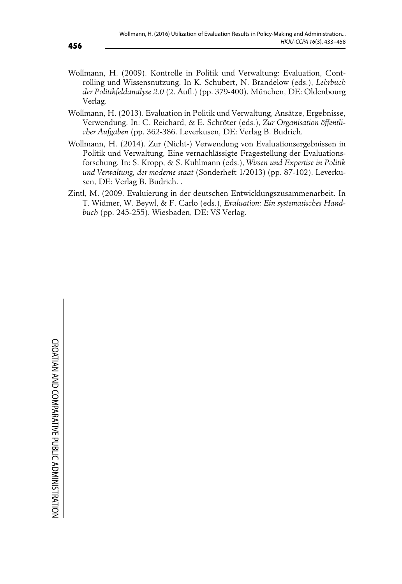- Wollmann, H. (2009). Kontrolle in Politik und Verwaltung: Evaluation, Controlling und Wissensnutzung. In K. Schubert, N. Brandelow (eds.), *Lehrbuch der Politikfeldanalyse 2.0* (2. Aufl.) (pp. 379-400). München, DE: Oldenbourg Verlag.
- Wollmann, H. (2013). Evaluation in Politik und Verwaltung, Ansätze, Ergebnisse, Verwendung. In: C. Reichard, & E. Schröter (eds.), *Zur Organisation öffentlicher Aufgaben* (pp. 362-386. Leverkusen, DE: Verlag B. Budrich.
- Wollmann, H. (2014). Zur (Nicht-) Verwendung von Evaluationsergebnissen in Politik und Verwaltung, Eine vernachlässigte Fragestellung der Evaluationsforschung. In: S. Kropp, & S. Kuhlmann (eds.), *Wissen und Expertise in Politik und Verwaltung, der moderne staat* (Sonderheft 1/2013) (pp. 87-102). Leverkusen, DE: Verlag B. Budrich. .
- Zintl, M. (2009. Evaluierung in der deutschen Entwicklungszusammenarbeit. In T. Widmer, W. Beywl, & F. Carlo (eds.), *Evaluation: Ein systematisches Handbuch* (pp. 245-255). Wiesbaden, DE: VS Verlag.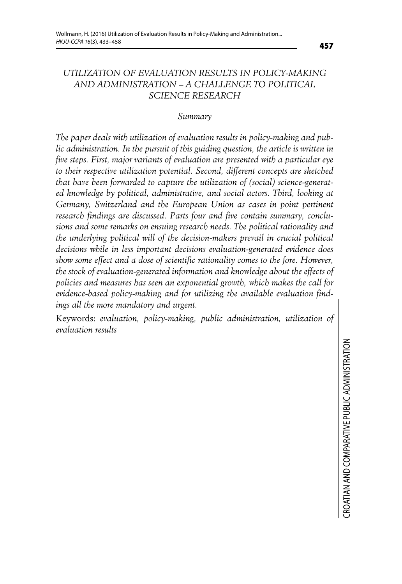#### *UTILIZATION OF EVALUATION RESULTS IN POLICY-MAKING AND ADMINISTRATION – A CHALLENGE TO POLITICAL SCIENCE RESEARCH*

#### *Summary*

*The paper deals with utilization of evaluation results in policy-making and pub*lic administration. In the pursuit of this guiding question, the article is written in *five steps. First, major variants of evaluation are presented with a particular eye to their respective utilization potential. Second, different concepts are sketched that have been forwarded to capture the utilization of (social) science-generated knowledge by political, administrative, and social actors. Third, looking at Germany, Switzerland and the European Union as cases in point pertinent research findings are discussed. Parts four and five contain summary, conclusions and some remarks on ensuing research needs. The political rationality and the underlying political will of the decision-makers prevail in crucial political decisions while in less important decisions evaluation-generated evidence does show some effect and a dose of scientific rationality comes to the fore. However, the stock of evaluation-generated information and knowledge about the effects of policies and measures has seen an exponential growth, which makes the call for evidence-based policy-making and for utilizing the available evaluation findings all the more mandatory and urgent.* 

Keywords: *evaluation, policy-making, public administration, utilization of evaluation results*